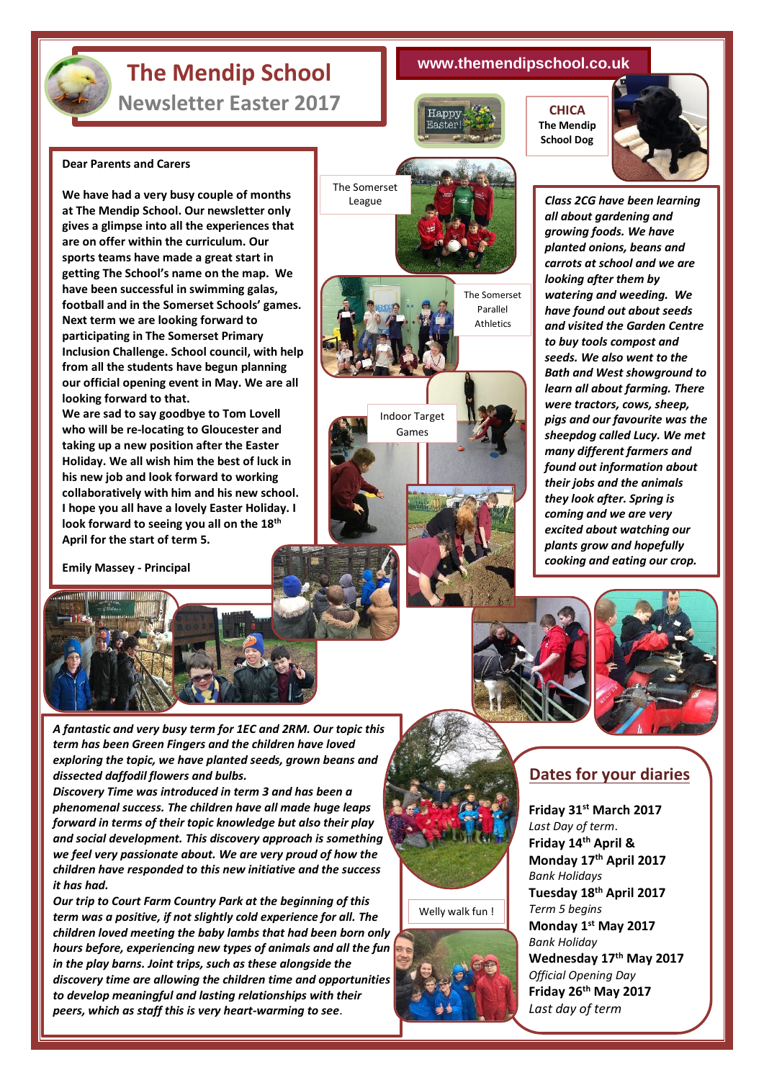## **The Mendip School**

**Newsletter Easter 2017**

**Dear Parents and Carers**

**looking forward to that.** 

**April for the start of term 5.**

**Emily Massey - Principal**

**MARIA ANTIQUE DE L'ANTIQUE DE L'ANTIQUE DE L'ANTIQUE DE L'ANTIQUE DE L'ANTIQUE DE L'ANTIQUE DE L'ANTIQUE DE L'** 

**We have had a very busy couple of months at The Mendip School. Our newsletter only gives a glimpse into all the experiences that are on offer within the curriculum. Our sports teams have made a great start in getting The School's name on the map. We have been successful in swimming galas, football and in the Somerset Schools' games.** 

**Next term we are looking forward to participating in The Somerset Primary Inclusion Challenge. School council, with help from all the students have begun planning our official opening event in May. We are all** 

**We are sad to say goodbye to Tom Lovell who will be re-locating to Gloucester and taking up a new position after the Easter Holiday. We all wish him the best of luck in his new job and look forward to working collaboratively with him and his new school. I hope you all have a lovely Easter Holiday. I look forward to seeing you all on the 18th**

## **www.themendipschool.co.uk**

The Somerset Parallel Athletics

The Somerset League

> Indoor Target Games





*Class 2CG have been learning all about gardening and growing foods. We have planted onions, beans and carrots at school and we are looking after them by watering and weeding. We have found out about seeds and visited the Garden Centre to buy tools compost and seeds. We also went to the Bath and West showground to learn all about farming. There were tractors, cows, sheep, pigs and our favourite was the sheepdog called Lucy. We met many different farmers and found out information about their jobs and the animals they look after. Spring is coming and we are very excited about watching our plants grow and hopefully cooking and eating our crop.*





*A fantastic and very busy term for 1EC and 2RM. Our topic this term has been Green Fingers and the children have loved exploring the topic, we have planted seeds, grown beans and dissected daffodil flowers and bulbs.* 

*Discovery Time was introduced in term 3 and has been a phenomenal success. The children have all made huge leaps forward in terms of their topic knowledge but also their play and social development. This discovery approach is something we feel very passionate about. We are very proud of how the children have responded to this new initiative and the success it has had.*

*Our trip to Court Farm Country Park at the beginning of this term was a positive, if not slightly cold experience for all. The children loved meeting the baby lambs that had been born only hours before, experiencing new types of animals and all the fun in the play barns. Joint trips, such as these alongside the discovery time are allowing the children time and opportunities to develop meaningful and lasting relationships with their peers, which as staff this is very heart-warming to see*.

## **Dates for your diaries**

**Friday 31st March 2017** *Last Day of term*. **Friday 14th April & Monday 17th April 2017** *Bank Holidays* **Tuesday 18th April 2017** *Term 5 begins* **Monday 1st May 2017** *Bank Holiday* **Wednesday 17th May 2017** *Official Opening Day* **Friday 26th May 2017** *Last day of term*



Welly walk fun !